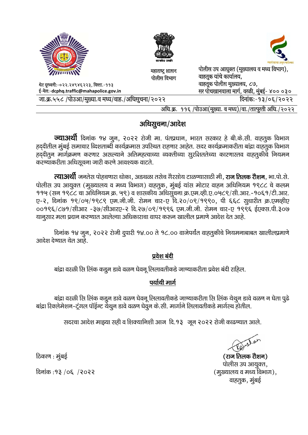

## अधिसूचना/आदेश

**ज्याअर्थी** दिनांक १४ जून, २०२२ रोजी मा. पंतप्रधान, भारत सरकार हे बी.के.सी. वाहतूक विभाग हददीतील मुंबई समाचार व्दिशताब्दी कार्यक्रमास उपरिथत राहणार आहेत. सदर कार्यक्रमाकरीता बांद्रा वाहतूक विभाग हृददीतून मार्गक्रमण करणार असल्याने अतिमहत्वाच्या व्यक्तीच्या सूरक्षिततेच्या कारणास्तव वाहतूकीचे नियमन करण्याकरीता अधिसूचना जारी करणे आवश्यक वाटते.

**त्याअर्थी** जनतेस पोहचणारा धोका, अडथळा तसेच गैरसोय टाळण्यासाठी मी, **राज तिलक रोशन**, भा.पो.से. पोलीस उप आयुक्त (मुख्यालय व मध्य विभाग) वाहतुक, मुंबई यांस मोटार वाहन अधिनियम १९८८ चे कलम ११५ (सन १९८८ चा अधिनियम क्र. ५९) व शासकीय अधिसुचना क्र.एम.व्ही.ए.०५८९/सी.आर.-१०६१/टी.आर. ए-२, दिनांक १९/०७/१९८९ एम.जी.जी. रोमन चार-ए दि.२०/०९/१९९०, पी ६६८ सुधारीत क्र.एमव्हीए ००१९६/८७१/सीआर -३७/सीआरए-२ दि.२७/०९/१९९६ एम.जी.जी. रोमन चार-ए १९९६ ईएक्स.पी.३०७ यानुसार मला प्रदान करण्यात आलेल्या अधिकाराचा वापर करून खालील प्रमाणे आदेश देत आहे.

दिनांक १४ जुन, २०२२ रोजी दुपारी १४.०० ते १८.०० वाजेपर्यंत वाहतुकीचे नियमनाबाबत खालीलप्रमाणे आदेश देण्यात येत आहे.

## प्रवेश बंदी

बांद्रा वरळी सि लिंक कडून डावे वळण घेवनू लिलावतीकडे जाण्याकरीता प्रवेश बंदी राहिल.

## पर्यायी मार्ग

बांद्रा वरळी सि लिंक कडून डावे वळण घेवनू लिलावतीकडे जाण्याकरीता सि लिंक येथुन डावे वळण न घेता पुढे बांद्रा रिक्लेमेशन-ट्रंगल पॉईन्ट येथून डावे वळण घेवून के.सी. मार्गाने लिलावतीकडे मार्गस्थ होतील.

सदरचा आदेश माझ्या सही व शिक्यानिशी आज दि.१३ जून २०२२ रोजी काढण्यात आले.

(राज तिलक रोशन) पोलीस उप आयुक्त, (मुख्यालय व मध्य विभाग), वाहतूक, मुंबई

ठिकाण : मुंबई

दिनांक: १३ / ०६ / २०२२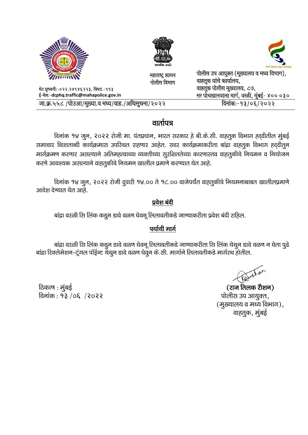| <b>NINK</b>                                         | सत्यमेष जयते                   |                                                                    |
|-----------------------------------------------------|--------------------------------|--------------------------------------------------------------------|
| WITHING                                             | महाराष्ट्र शासन<br>पोलीस विभाग | पोलीस उप आयुक्त (मुख्यालय व मध्य विभाग),<br>वाहतुक यांचे कार्यालय, |
| थेट दूरध्वनी:-०२२.२४९४६२२३, विस्ता.-११३             |                                | वाहतूक पोलीस मुख्यालय, ८७,                                         |
| ई-मेल:-dcphq.traffic@mahapolice.gov.in              |                                | सर पोचखानवाला मार्ग, वरळी, मुंबई- ४०० ०३०                          |
| . जा.क्र.५५८ /पोउआ/मुख्या.व मध्य/वाह./अधिसुचना/२०२२ |                                | दिनांक:-१३/०६/२०२२                                                 |

# वार्तापत्र

दिनांक १४ जुन, २०२२ रोजी मा. पंतप्रधान, भारत सरकार हे बी.के.सी. वाहतुक विभाग हद्दीतील मुंबई समाचार व्विशताब्दी कार्यक्रमास उपरिथत राहणार आहेत. सदर कार्यक्रमाकरीता बांद्रा वाहतूक विभाग हददीतून मार्गक्रमण करणार असल्याने अतिमहत्वाच्या व्यक्तीच्या सुरक्षिततेच्या कारणास्तव वाहतुकीचे नियमन व नियोजन करणे आवश्यक असल्याने वाहतूकीचे नियमन खालील प्रमाणे करण्यात येत आहे.

दिनांक १४ जुन, २०२२ रोजी दुपारी १४.०० ते १८.०० वाजेपर्यंत वाहतुकीचे नियमनाबाबत खालीलप्रमाणे आदेश देण्यात येत आहे.

## प्रवेश बंदी

बांद्रा वरळी सि लिंक कडुन डावे वळण घेवनू लिलावतीकडे जाण्याकरीता प्रवेश बंदी राहिल.

## पर्यायी मार्ग

बांद्रा वरळी सि लिंक कडुन डावे वळण घेवनू लिलावतीकडे जाण्याकरीता सि लिंक येथुन डावे वळण न घेता पुढे बांद्रा रिक्लेमेशन-ट्रंगल पॉईन्ट येथुन डावे वळण घेवुन के.सी. मार्गाने लिलावतीकडे मार्गस्थ होतील.

ठिकाण : मुंबई दिनांक: १३ /०६ /२०२२

(राज तिलक रौशन) पोलीस उप आयुक्त, (मुख्यालय व मध्य विभाग), वाहतुक, मुंबई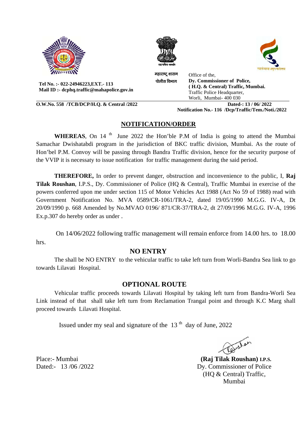





Tel No.: - 022-24946223.EXT. - 113 Mail ID :- dcphq.traffic@mahapolice.gov.in

O.W.No. 558 /TCB/DCP/H.Q. & Central /2022

महाराष्ट् शासन Office of the, Dy. Commissioner of Police, पोलीस विभाग (H.Q. & Central) Traffic, Mumbai. Traffic Police Headquarter, Worli, Mumbai- 400 030 Dated-: 13 / 06/2022

Notification No.- 116 /Dcp/Traffic/Tem./Noti./2022

## NOTIFICATION/ORDER

**WHEREAS**, On 14<sup>th</sup> June 2022 the Hon'ble P.M of India is going to attend the Mumbai Samachar Dwishatabdi program in the jurisdiction of BKC traffic division, Mumbai. As the route of Hon'bel P.M. Convoy will be passing through Bandra Traffic division, hence for the security purpose of the VVIP it is necessaty to issue notification for traffic management during the said period.

THEREFORE, In order to prevent danger, obstruction and inconvenience to the public, I, Raj Tilak Roushan, I.P.S., Dy. Commissioner of Police (HO & Central), Traffic Mumbai in exercise of the powers conferred upon me under section 115 of Motor Vehicles Act 1988 (Act No 59 of 1988) read with Government Notification No. MVA 0589/CR-1061/TRA-2, dated 19/05/1990 M.G.G. IV-A, Dt 20/09/1990 p. 668 Amended by No.MVAO 0196/871/CR-37/TRA-2, dt 27/09/1996 M.G.G. IV-A, 1996 Ex.p.307 do hereby order as under.

On 14/06/2022 following traffic management will remain enforce from 14.00 hrs. to 18.00 hrs.

#### **NO ENTRY**

The shall be NO ENTRY to the vehicular traffic to take left turn from Worli-Bandra Sea link to go towards Lilavati Hospital.

#### **OPTIONAL ROUTE**

Vehicular traffic proceeds towards Lilavati Hospital by taking left turn from Bandra-Worli Sea Link instead of that shall take left turn from Reclamation Trangal point and through K.C Marg shall proceed towards Lilavati Hospital.

Issued under my seal and signature of the  $13<sup>th</sup>$  day of June, 2022

 $\sqrt{\alpha}$ 

(Rai Tilak Roushan) I.P.S. Dy. Commissioner of Police (HQ & Central) Traffic, Mumbai

Place:- Mumbai Dated:- 13/06/2022